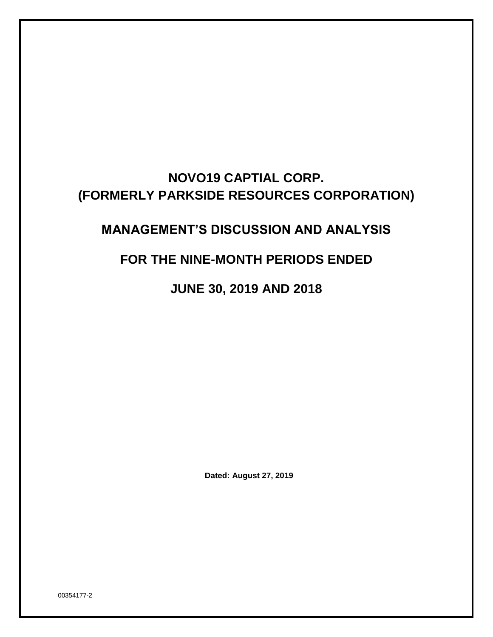# **NOVO19 CAPTIAL CORP. (FORMERLY PARKSIDE RESOURCES CORPORATION)**

# **MANAGEMENT'S DISCUSSION AND ANALYSIS**

## **FOR THE NINE-MONTH PERIODS ENDED**

**JUNE 30, 2019 AND 2018**

**Dated: August 27, 2019**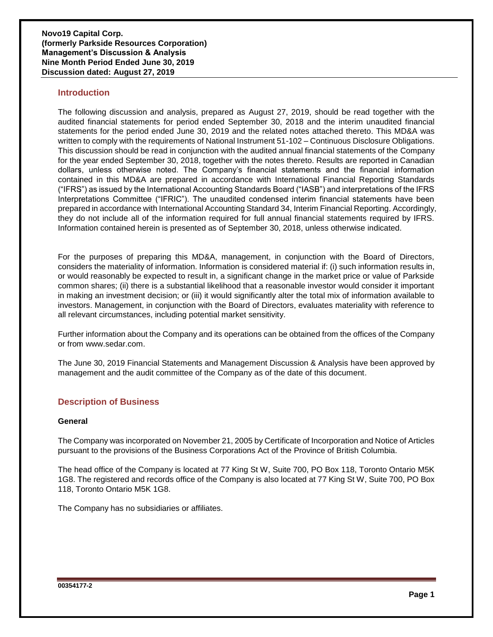## **Introduction**

The following discussion and analysis, prepared as August 27, 2019, should be read together with the audited financial statements for period ended September 30, 2018 and the interim unaudited financial statements for the period ended June 30, 2019 and the related notes attached thereto. This MD&A was written to comply with the requirements of National Instrument 51-102 – Continuous Disclosure Obligations. This discussion should be read in conjunction with the audited annual financial statements of the Company for the year ended September 30, 2018, together with the notes thereto. Results are reported in Canadian dollars, unless otherwise noted. The Company's financial statements and the financial information contained in this MD&A are prepared in accordance with International Financial Reporting Standards ("IFRS") as issued by the International Accounting Standards Board ("IASB") and interpretations of the IFRS Interpretations Committee ("IFRIC"). The unaudited condensed interim financial statements have been prepared in accordance with International Accounting Standard 34, Interim Financial Reporting. Accordingly, they do not include all of the information required for full annual financial statements required by IFRS. Information contained herein is presented as of September 30, 2018, unless otherwise indicated.

For the purposes of preparing this MD&A, management, in conjunction with the Board of Directors, considers the materiality of information. Information is considered material if: (i) such information results in, or would reasonably be expected to result in, a significant change in the market price or value of Parkside common shares; (ii) there is a substantial likelihood that a reasonable investor would consider it important in making an investment decision; or (iii) it would significantly alter the total mix of information available to investors. Management, in conjunction with the Board of Directors, evaluates materiality with reference to all relevant circumstances, including potential market sensitivity.

Further information about the Company and its operations can be obtained from the offices of the Company or from [www.sedar.com.](http://www.sedar.com/)

The June 30, 2019 Financial Statements and Management Discussion & Analysis have been approved by management and the audit committee of the Company as of the date of this document.

## **Description of Business**

#### **General**

The Company was incorporated on November 21, 2005 by Certificate of Incorporation and Notice of Articles pursuant to the provisions of the Business Corporations Act of the Province of British Columbia.

The head office of the Company is located at 77 King St W, Suite 700, PO Box 118, Toronto Ontario M5K 1G8. The registered and records office of the Company is also located at 77 King St W, Suite 700, PO Box 118, Toronto Ontario M5K 1G8.

The Company has no subsidiaries or affiliates.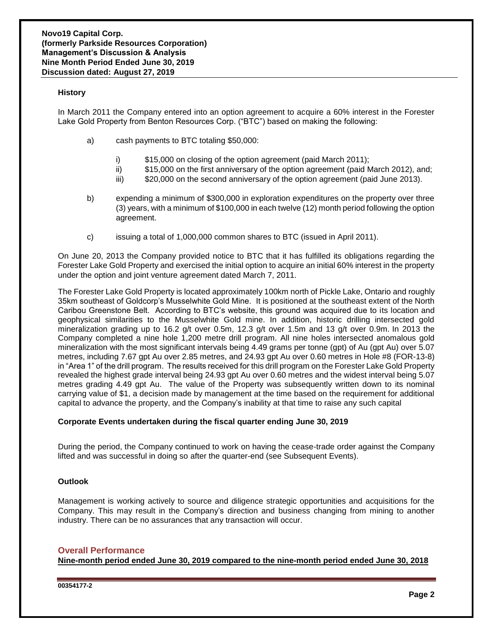#### **History**

In March 2011 the Company entered into an option agreement to acquire a 60% interest in the Forester Lake Gold Property from Benton Resources Corp. ("BTC") based on making the following:

- a) cash payments to BTC totaling \$50,000:
	- i) \$15,000 on closing of the option agreement (paid March 2011);
	- ii) \$15,000 on the first anniversary of the option agreement (paid March 2012), and;
	- iii) \$20,000 on the second anniversary of the option agreement (paid June 2013).
- b) expending a minimum of \$300,000 in exploration expenditures on the property over three (3) years, with a minimum of \$100,000 in each twelve (12) month period following the option agreement.
- c) issuing a total of 1,000,000 common shares to BTC (issued in April 2011).

On June 20, 2013 the Company provided notice to BTC that it has fulfilled its obligations regarding the Forester Lake Gold Property and exercised the initial option to acquire an initial 60% interest in the property under the option and joint venture agreement dated March 7, 2011.

The Forester Lake Gold Property is located approximately 100km north of Pickle Lake, Ontario and roughly 35km southeast of Goldcorp's Musselwhite Gold Mine. It is positioned at the southeast extent of the North Caribou Greenstone Belt. According to BTC's website, this ground was acquired due to its location and geophysical similarities to the Musselwhite Gold mine. In addition, historic drilling intersected gold mineralization grading up to 16.2 g/t over 0.5m, 12.3 g/t over 1.5m and 13 g/t over 0.9m. In 2013 the Company completed a nine hole 1,200 metre drill program. All nine holes intersected anomalous gold mineralization with the most significant intervals being 4.49 grams per tonne (gpt) of Au (gpt Au) over 5.07 metres, including 7.67 gpt Au over 2.85 metres, and 24.93 gpt Au over 0.60 metres in Hole #8 (FOR-13-8) in "Area 1" of the drill program. The results received for this drill program on the Forester Lake Gold Property revealed the highest grade interval being 24.93 gpt Au over 0.60 metres and the widest interval being 5.07 metres grading 4.49 gpt Au. The value of the Property was subsequently written down to its nominal carrying value of \$1, a decision made by management at the time based on the requirement for additional capital to advance the property, and the Company's inability at that time to raise any such capital

#### **Corporate Events undertaken during the fiscal quarter ending June 30, 2019**

During the period, the Company continued to work on having the cease-trade order against the Company lifted and was successful in doing so after the quarter-end (see Subsequent Events).

#### **Outlook**

Management is working actively to source and diligence strategic opportunities and acquisitions for the Company. This may result in the Company's direction and business changing from mining to another industry. There can be no assurances that any transaction will occur.

#### **Overall Performance**

**Nine-month period ended June 30, 2019 compared to the nine-month period ended June 30, 2018**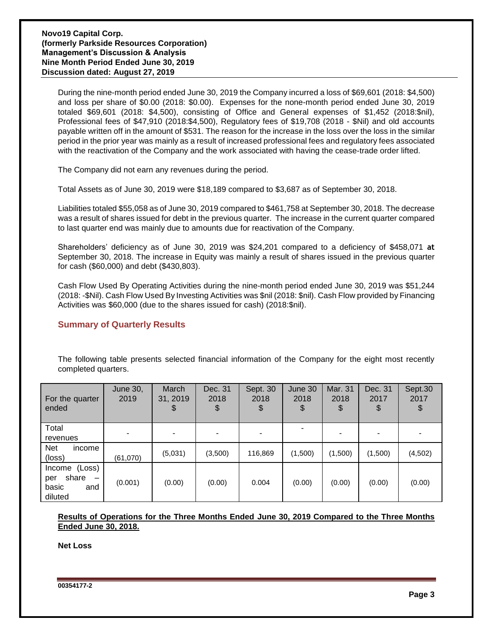During the nine-month period ended June 30, 2019 the Company incurred a loss of \$69,601 (2018: \$4,500) and loss per share of \$0.00 (2018: \$0.00). Expenses for the none-month period ended June 30, 2019 totaled \$69,601 (2018: \$4,500), consisting of Office and General expenses of \$1,452 (2018:\$nil), Professional fees of \$47,910 (2018:\$4,500), Regulatory fees of \$19,708 (2018 - \$Nil) and old accounts payable written off in the amount of \$531. The reason for the increase in the loss over the loss in the similar period in the prior year was mainly as a result of increased professional fees and regulatory fees associated with the reactivation of the Company and the work associated with having the cease-trade order lifted.

The Company did not earn any revenues during the period.

Total Assets as of June 30, 2019 were \$18,189 compared to \$3,687 as of September 30, 2018.

Liabilities totaled \$55,058 as of June 30, 2019 compared to \$461,758 at September 30, 2018. The decrease was a result of shares issued for debt in the previous quarter. The increase in the current quarter compared to last quarter end was mainly due to amounts due for reactivation of the Company.

Shareholders' deficiency as of June 30, 2019 was \$24,201 compared to a deficiency of \$458,071 **at** September 30, 2018. The increase in Equity was mainly a result of shares issued in the previous quarter for cash (\$60,000) and debt (\$430,803).

Cash Flow Used By Operating Activities during the nine-month period ended June 30, 2019 was \$51,244 (2018: -\$Nil). Cash Flow Used By Investing Activities was \$nil (2018: \$nil). Cash Flow provided by Financing Activities was \$60,000 (due to the shares issued for cash) (2018:\$nil).

## **Summary of Quarterly Results**

The following table presents selected financial information of the Company for the eight most recently completed quarters.

| For the quarter<br>ended                                                                | <b>June 30,</b><br>2019 | March<br>31, 2019<br>\$ | Dec. 31<br>2018<br>\$ | Sept. 30<br>2018<br>\$ | June 30<br>2018<br>\$ | Mar. 31<br>2018<br>\$ | Dec. 31<br>2017<br>\$ | Sept.30<br>2017<br>\$ |
|-----------------------------------------------------------------------------------------|-------------------------|-------------------------|-----------------------|------------------------|-----------------------|-----------------------|-----------------------|-----------------------|
| Total<br>revenues                                                                       |                         |                         |                       |                        |                       |                       |                       |                       |
| <b>Net</b><br>income<br>(loss)                                                          | (61,070)                | (5,031)                 | (3,500)               | 116,869                | (1,500)               | (1,500)               | (1,500)               | (4,502)               |
| (Loss)<br>Income<br>share<br>per<br>$\overline{\phantom{m}}$<br>basic<br>and<br>diluted | (0.001)                 | (0.00)                  | (0.00)                | 0.004                  | (0.00)                | (0.00)                | (0.00)                | (0.00)                |

**Results of Operations for the Three Months Ended June 30, 2019 Compared to the Three Months Ended June 30, 2018.** 

**Net Loss**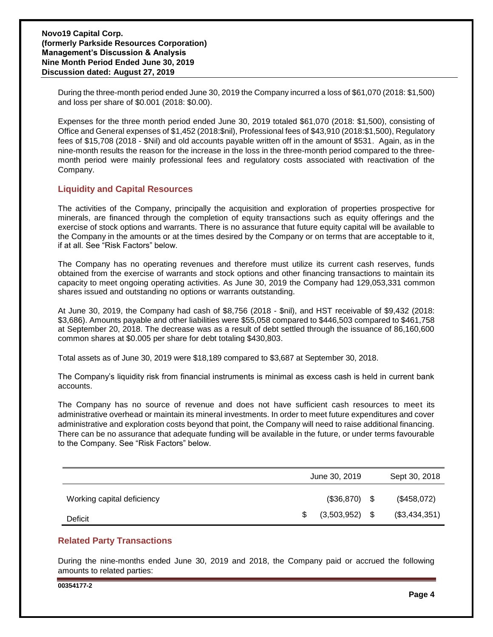During the three-month period ended June 30, 2019 the Company incurred a loss of \$61,070 (2018: \$1,500) and loss per share of \$0.001 (2018: \$0.00).

Expenses for the three month period ended June 30, 2019 totaled \$61,070 (2018: \$1,500), consisting of Office and General expenses of \$1,452 (2018:\$nil), Professional fees of \$43,910 (2018:\$1,500), Regulatory fees of \$15,708 (2018 - \$Nil) and old accounts payable written off in the amount of \$531. Again, as in the nine-month results the reason for the increase in the loss in the three-month period compared to the threemonth period were mainly professional fees and regulatory costs associated with reactivation of the Company.

## **Liquidity and Capital Resources**

The activities of the Company, principally the acquisition and exploration of properties prospective for minerals, are financed through the completion of equity transactions such as equity offerings and the exercise of stock options and warrants. There is no assurance that future equity capital will be available to the Company in the amounts or at the times desired by the Company or on terms that are acceptable to it, if at all. See "Risk Factors" below.

The Company has no operating revenues and therefore must utilize its current cash reserves, funds obtained from the exercise of warrants and stock options and other financing transactions to maintain its capacity to meet ongoing operating activities. As June 30, 2019 the Company had 129,053,331 common shares issued and outstanding no options or warrants outstanding.

At June 30, 2019, the Company had cash of \$8,756 (2018 - \$nil), and HST receivable of \$9,432 (2018: \$3,686). Amounts payable and other liabilities were \$55,058 compared to \$446,503 compared to \$461,758 at September 20, 2018. The decrease was as a result of debt settled through the issuance of 86,160,600 common shares at \$0.005 per share for debt totaling \$430,803.

Total assets as of June 30, 2019 were \$18,189 compared to \$3,687 at September 30, 2018.

The Company's liquidity risk from financial instruments is minimal as excess cash is held in current bank accounts.

The Company has no source of revenue and does not have sufficient cash resources to meet its administrative overhead or maintain its mineral investments. In order to meet future expenditures and cover administrative and exploration costs beyond that point, the Company will need to raise additional financing. There can be no assurance that adequate funding will be available in the future, or under terms favourable to the Company. See "Risk Factors" below.

|                            | June 30, 2019    |      | Sept 30, 2018 |
|----------------------------|------------------|------|---------------|
| Working capital deficiency | $(\$36,870)$     | - \$ | (\$458,072)   |
| Deficit                    | $(3,503,952)$ \$ |      | (\$3,434,351) |

## **Related Party Transactions**

During the nine-months ended June 30, 2019 and 2018, the Company paid or accrued the following amounts to related parties: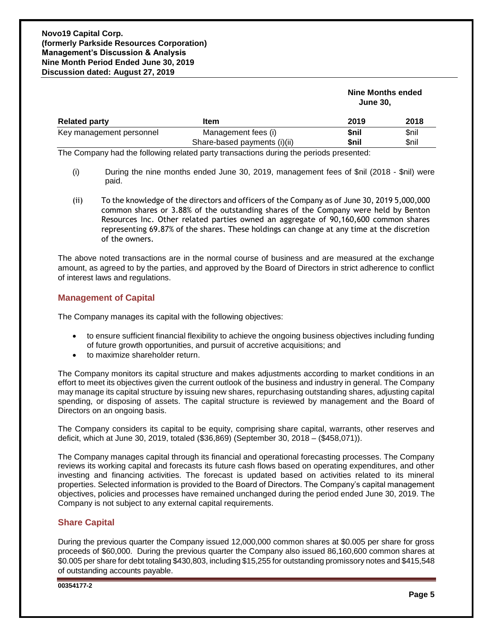|                          |                              | Nine Months ended<br><b>June 30,</b> |       |  |
|--------------------------|------------------------------|--------------------------------------|-------|--|
| <b>Related party</b>     | 2019                         | 2018                                 |       |  |
| Key management personnel | Management fees (i)          | <b>Snil</b>                          | \$nil |  |
|                          | Share-based payments (i)(ii) | \$nil                                | \$nil |  |

The Company had the following related party transactions during the periods presented:

- (i) During the nine months ended June 30, 2019, management fees of \$nil (2018 \$nil) were paid.
- (ii) To the knowledge of the directors and officers of the Company as of June 30, 2019 5,000,000 common shares or 3.88% of the outstanding shares of the Company were held by Benton Resources Inc. Other related parties owned an aggregate of 90,160,600 common shares representing 69.87% of the shares. These holdings can change at any time at the discretion of the owners.

The above noted transactions are in the normal course of business and are measured at the exchange amount, as agreed to by the parties, and approved by the Board of Directors in strict adherence to conflict of interest laws and regulations.

## **Management of Capital**

The Company manages its capital with the following objectives:

- to ensure sufficient financial flexibility to achieve the ongoing business objectives including funding of future growth opportunities, and pursuit of accretive acquisitions; and
- to maximize shareholder return.

The Company monitors its capital structure and makes adjustments according to market conditions in an effort to meet its objectives given the current outlook of the business and industry in general. The Company may manage its capital structure by issuing new shares, repurchasing outstanding shares, adjusting capital spending, or disposing of assets. The capital structure is reviewed by management and the Board of Directors on an ongoing basis.

The Company considers its capital to be equity, comprising share capital, warrants, other reserves and deficit, which at June 30, 2019, totaled (\$36,869) (September 30, 2018 – (\$458,071)).

The Company manages capital through its financial and operational forecasting processes. The Company reviews its working capital and forecasts its future cash flows based on operating expenditures, and other investing and financing activities. The forecast is updated based on activities related to its mineral properties. Selected information is provided to the Board of Directors. The Company's capital management objectives, policies and processes have remained unchanged during the period ended June 30, 2019. The Company is not subject to any external capital requirements.

## **Share Capital**

During the previous quarter the Company issued 12,000,000 common shares at \$0.005 per share for gross proceeds of \$60,000. During the previous quarter the Company also issued 86,160,600 common shares at \$0.005 per share for debt totaling \$430,803, including \$15,255 for outstanding promissory notes and \$415,548 of outstanding accounts payable.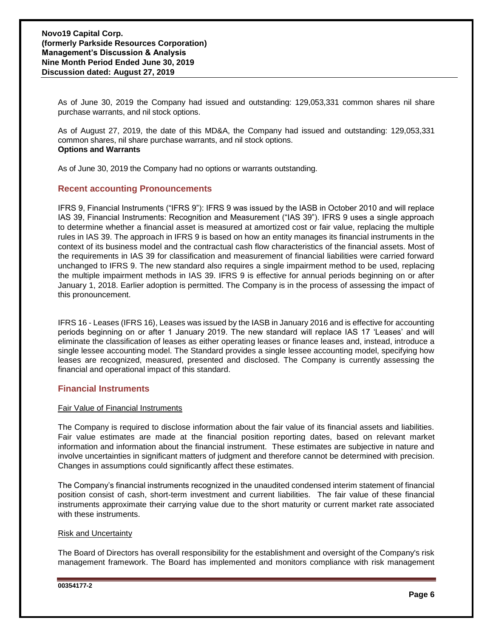As of June 30, 2019 the Company had issued and outstanding: 129,053,331 common shares nil share purchase warrants, and nil stock options.

As of August 27, 2019, the date of this MD&A, the Company had issued and outstanding: 129,053,331 common shares, nil share purchase warrants, and nil stock options. **Options and Warrants**

As of June 30, 2019 the Company had no options or warrants outstanding.

## **Recent accounting Pronouncements**

IFRS 9, Financial Instruments ("IFRS 9"): IFRS 9 was issued by the IASB in October 2010 and will replace IAS 39, Financial Instruments: Recognition and Measurement ("IAS 39"). IFRS 9 uses a single approach to determine whether a financial asset is measured at amortized cost or fair value, replacing the multiple rules in IAS 39. The approach in IFRS 9 is based on how an entity manages its financial instruments in the context of its business model and the contractual cash flow characteristics of the financial assets. Most of the requirements in IAS 39 for classification and measurement of financial liabilities were carried forward unchanged to IFRS 9. The new standard also requires a single impairment method to be used, replacing the multiple impairment methods in IAS 39. IFRS 9 is effective for annual periods beginning on or after January 1, 2018. Earlier adoption is permitted. The Company is in the process of assessing the impact of this pronouncement.

IFRS 16 - Leases (IFRS 16), Leases was issued by the IASB in January 2016 and is effective for accounting periods beginning on or after 1 January 2019. The new standard will replace IAS 17 'Leases' and will eliminate the classification of leases as either operating leases or finance leases and, instead, introduce a single lessee accounting model. The Standard provides a single lessee accounting model, specifying how leases are recognized, measured, presented and disclosed. The Company is currently assessing the financial and operational impact of this standard.

#### **Financial Instruments**

#### Fair Value of Financial Instruments

The Company is required to disclose information about the fair value of its financial assets and liabilities. Fair value estimates are made at the financial position reporting dates, based on relevant market information and information about the financial instrument. These estimates are subjective in nature and involve uncertainties in significant matters of judgment and therefore cannot be determined with precision. Changes in assumptions could significantly affect these estimates.

The Company's financial instruments recognized in the unaudited condensed interim statement of financial position consist of cash, short-term investment and current liabilities. The fair value of these financial instruments approximate their carrying value due to the short maturity or current market rate associated with these instruments.

#### Risk and Uncertainty

The Board of Directors has overall responsibility for the establishment and oversight of the Company's risk management framework. The Board has implemented and monitors compliance with risk management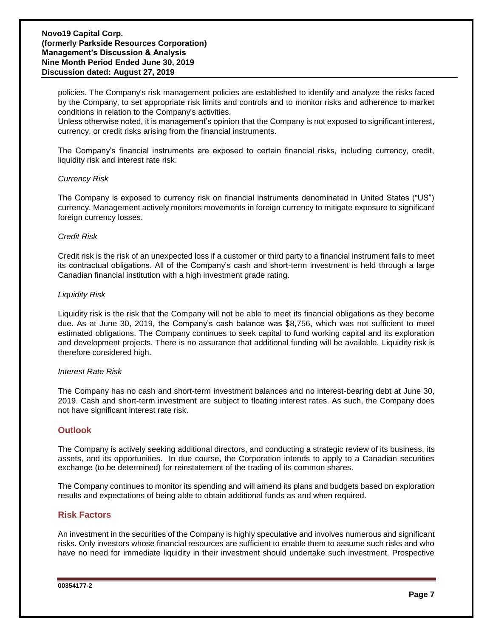policies. The Company's risk management policies are established to identify and analyze the risks faced by the Company, to set appropriate risk limits and controls and to monitor risks and adherence to market conditions in relation to the Company's activities.

Unless otherwise noted, it is management's opinion that the Company is not exposed to significant interest, currency, or credit risks arising from the financial instruments.

The Company's financial instruments are exposed to certain financial risks, including currency, credit, liquidity risk and interest rate risk.

#### *Currency Risk*

The Company is exposed to currency risk on financial instruments denominated in United States ("US") currency. Management actively monitors movements in foreign currency to mitigate exposure to significant foreign currency losses.

#### *Credit Risk*

Credit risk is the risk of an unexpected loss if a customer or third party to a financial instrument fails to meet its contractual obligations. All of the Company's cash and short-term investment is held through a large Canadian financial institution with a high investment grade rating.

#### *Liquidity Risk*

Liquidity risk is the risk that the Company will not be able to meet its financial obligations as they become due. As at June 30, 2019, the Company's cash balance was \$8,756, which was not sufficient to meet estimated obligations. The Company continues to seek capital to fund working capital and its exploration and development projects. There is no assurance that additional funding will be available. Liquidity risk is therefore considered high.

#### *Interest Rate Risk*

The Company has no cash and short-term investment balances and no interest-bearing debt at June 30, 2019. Cash and short-term investment are subject to floating interest rates. As such, the Company does not have significant interest rate risk.

#### **Outlook**

The Company is actively seeking additional directors, and conducting a strategic review of its business, its assets, and its opportunities. In due course, the Corporation intends to apply to a Canadian securities exchange (to be determined) for reinstatement of the trading of its common shares.

The Company continues to monitor its spending and will amend its plans and budgets based on exploration results and expectations of being able to obtain additional funds as and when required.

#### **Risk Factors**

An investment in the securities of the Company is highly speculative and involves numerous and significant risks. Only investors whose financial resources are sufficient to enable them to assume such risks and who have no need for immediate liquidity in their investment should undertake such investment. Prospective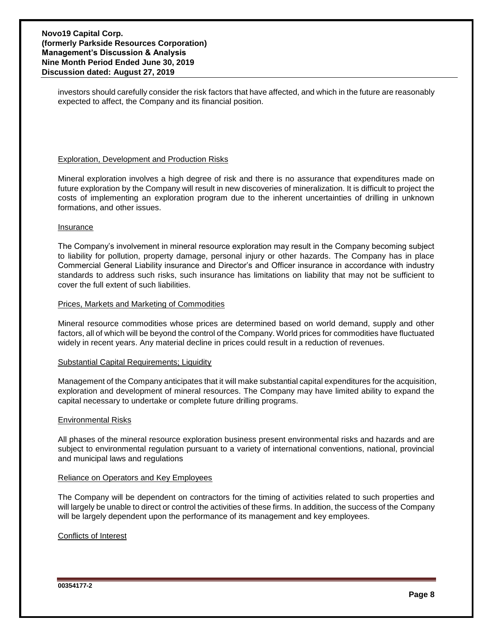investors should carefully consider the risk factors that have affected, and which in the future are reasonably expected to affect, the Company and its financial position.

#### Exploration, Development and Production Risks

Mineral exploration involves a high degree of risk and there is no assurance that expenditures made on future exploration by the Company will result in new discoveries of mineralization. It is difficult to project the costs of implementing an exploration program due to the inherent uncertainties of drilling in unknown formations, and other issues.

#### Insurance

The Company's involvement in mineral resource exploration may result in the Company becoming subject to liability for pollution, property damage, personal injury or other hazards. The Company has in place Commercial General Liability insurance and Director's and Officer insurance in accordance with industry standards to address such risks, such insurance has limitations on liability that may not be sufficient to cover the full extent of such liabilities.

#### Prices, Markets and Marketing of Commodities

Mineral resource commodities whose prices are determined based on world demand, supply and other factors, all of which will be beyond the control of the Company. World prices for commodities have fluctuated widely in recent years. Any material decline in prices could result in a reduction of revenues.

#### Substantial Capital Requirements; Liquidity

Management of the Company anticipates that it will make substantial capital expenditures for the acquisition, exploration and development of mineral resources. The Company may have limited ability to expand the capital necessary to undertake or complete future drilling programs.

#### Environmental Risks

All phases of the mineral resource exploration business present environmental risks and hazards and are subject to environmental regulation pursuant to a variety of international conventions, national, provincial and municipal laws and regulations

#### Reliance on Operators and Key Employees

The Company will be dependent on contractors for the timing of activities related to such properties and will largely be unable to direct or control the activities of these firms. In addition, the success of the Company will be largely dependent upon the performance of its management and key employees.

#### Conflicts of Interest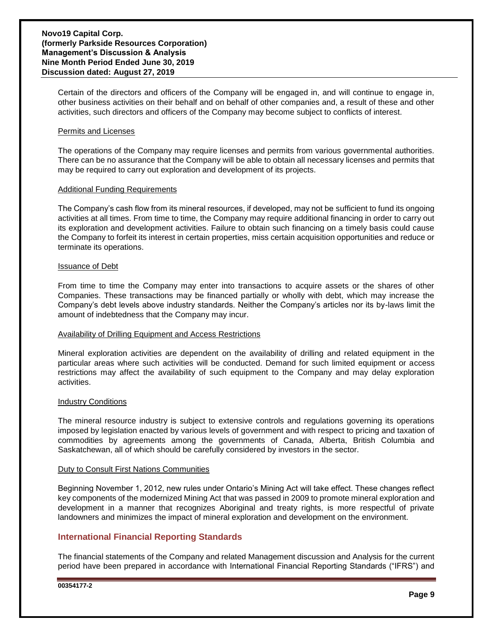Certain of the directors and officers of the Company will be engaged in, and will continue to engage in, other business activities on their behalf and on behalf of other companies and, a result of these and other activities, such directors and officers of the Company may become subject to conflicts of interest.

#### Permits and Licenses

The operations of the Company may require licenses and permits from various governmental authorities. There can be no assurance that the Company will be able to obtain all necessary licenses and permits that may be required to carry out exploration and development of its projects.

#### Additional Funding Requirements

The Company's cash flow from its mineral resources, if developed, may not be sufficient to fund its ongoing activities at all times. From time to time, the Company may require additional financing in order to carry out its exploration and development activities. Failure to obtain such financing on a timely basis could cause the Company to forfeit its interest in certain properties, miss certain acquisition opportunities and reduce or terminate its operations.

#### Issuance of Debt

From time to time the Company may enter into transactions to acquire assets or the shares of other Companies. These transactions may be financed partially or wholly with debt, which may increase the Company's debt levels above industry standards. Neither the Company's articles nor its by-laws limit the amount of indebtedness that the Company may incur.

#### Availability of Drilling Equipment and Access Restrictions

Mineral exploration activities are dependent on the availability of drilling and related equipment in the particular areas where such activities will be conducted. Demand for such limited equipment or access restrictions may affect the availability of such equipment to the Company and may delay exploration activities.

#### Industry Conditions

The mineral resource industry is subject to extensive controls and regulations governing its operations imposed by legislation enacted by various levels of government and with respect to pricing and taxation of commodities by agreements among the governments of Canada, Alberta, British Columbia and Saskatchewan, all of which should be carefully considered by investors in the sector.

#### Duty to Consult First Nations Communities

Beginning November 1, 2012, new rules under Ontario's Mining Act will take effect. These changes reflect key components of the modernized Mining Act that was passed in 2009 to promote mineral exploration and development in a manner that recognizes Aboriginal and treaty rights, is more respectful of private landowners and minimizes the impact of mineral exploration and development on the environment.

## **International Financial Reporting Standards**

The financial statements of the Company and related Management discussion and Analysis for the current period have been prepared in accordance with International Financial Reporting Standards ("IFRS") and